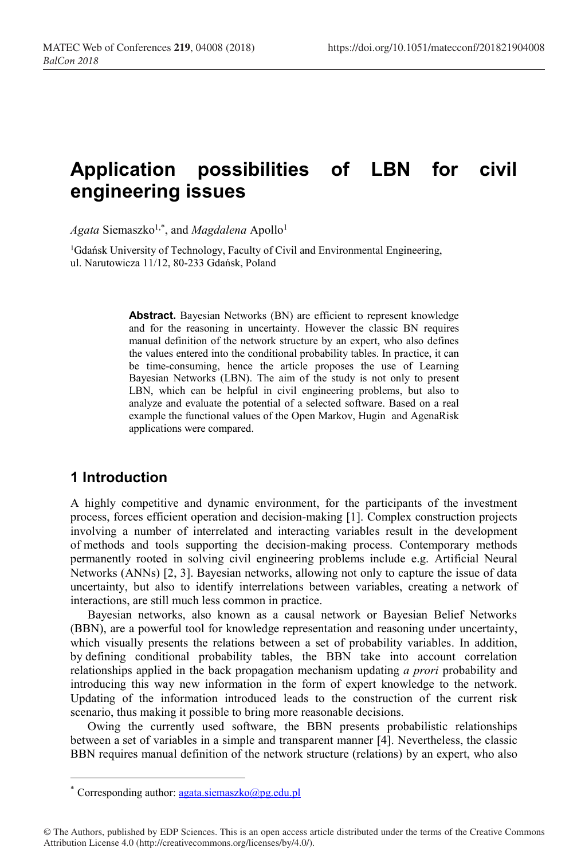# **Application possibilities of LBN for civil engineering issues**

Agata Siemaszko<sup>1,\*</sup>, and *Magdalena* Apollo<sup>1</sup>

1 Gdańsk University of Technology, Faculty of Civil and Environmental Engineering, ul. Narutowicza 11/12, 80-233 Gdańsk, Poland

> **Abstract.** Bayesian Networks (BN) are efficient to represent knowledge and for the reasoning in uncertainty. However the classic BN requires manual definition of the network structure by an expert, who also defines the values entered into the conditional probability tables. In practice, it can be time-consuming, hence the article proposes the use of Learning Bayesian Networks (LBN). The aim of the study is not only to present LBN, which can be helpful in civil engineering problems, but also to analyze and evaluate the potential of a selected software. Based on a real example the functional values of the Open Markov, Hugin and AgenaRisk applications were compared.

# **1 Introduction**

A highly competitive and dynamic environment, for the participants of the investment process, forces efficient operation and decision-making [1]. Complex construction projects involving a number of interrelated and interacting variables result in the development of methods and tools supporting the decision-making process. Contemporary methods permanently rooted in solving civil engineering problems include e.g. Artificial Neural Networks (ANNs) [2, 3]. Bayesian networks, allowing not only to capture the issue of data uncertainty, but also to identify interrelations between variables, creating a network of interactions, are still much less common in practice.

Bayesian networks, also known as a causal network or Bayesian Belief Networks (BBN), are a powerful tool for knowledge representation and reasoning under uncertainty, which visually presents the relations between a set of probability variables. In addition, by defining conditional probability tables, the BBN take into account correlation relationships applied in the back propagation mechanism updating *a prori* probability and introducing this way new information in the form of expert knowledge to the network. Updating of the information introduced leads to the construction of the current risk scenario, thus making it possible to bring more reasonable decisions.

Owing the currently used software, the BBN presents probabilistic relationships between a set of variables in a simple and transparent manner [4]. Nevertheless, the classic BBN requires manual definition of the network structure (relations) by an expert, who also

<sup>\*</sup> Corresponding author:  $a$ gata.siemaszko@pg.edu.pl

<sup>©</sup> The Authors, published by EDP Sciences. This is an open access article distributed under the terms of the Creative Commons Attribution License 4.0 (http://creativecommons.org/licenses/by/4.0/).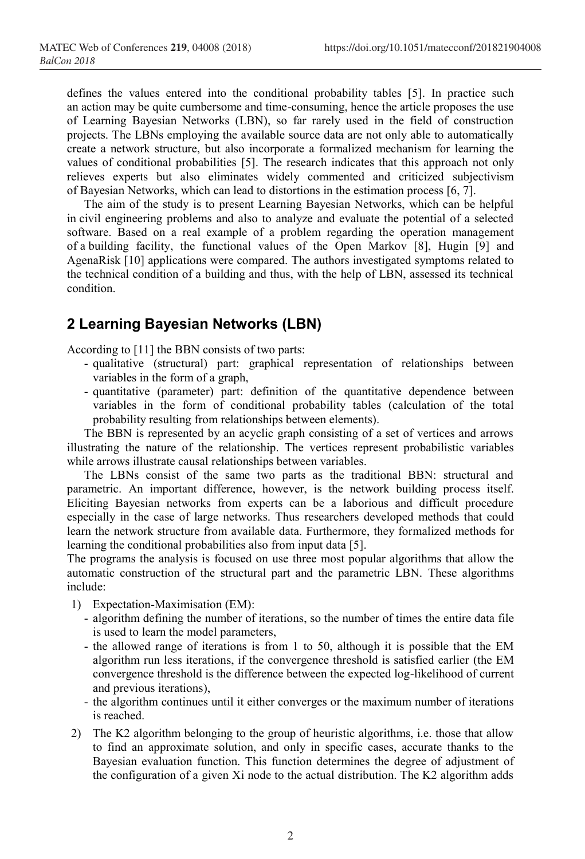defines the values entered into the conditional probability tables [5]. In practice such an action may be quite cumbersome and time-consuming, hence the article proposes the use of Learning Bayesian Networks (LBN), so far rarely used in the field of construction projects. The LBNs employing the available source data are not only able to automatically create a network structure, but also incorporate a formalized mechanism for learning the values of conditional probabilities [5]. The research indicates that this approach not only relieves experts but also eliminates widely commented and criticized subjectivism of Bayesian Networks, which can lead to distortions in the estimation process [6, 7].

The aim of the study is to present Learning Bayesian Networks, which can be helpful in civil engineering problems and also to analyze and evaluate the potential of a selected software. Based on a real example of a problem regarding the operation management of a building facility, the functional values of the Open Markov [8], Hugin [9] and AgenaRisk [10] applications were compared. The authors investigated symptoms related to the technical condition of a building and thus, with the help of LBN, assessed its technical condition.

# **2 Learning Bayesian Networks (LBN)**

According to [11] the BBN consists of two parts:

- qualitative (structural) part: graphical representation of relationships between variables in the form of a graph,
- quantitative (parameter) part: definition of the quantitative dependence between variables in the form of conditional probability tables (calculation of the total probability resulting from relationships between elements).

The BBN is represented by an acyclic graph consisting of a set of vertices and arrows illustrating the nature of the relationship. The vertices represent probabilistic variables while arrows illustrate causal relationships between variables.

The LBNs consist of the same two parts as the traditional BBN: structural and parametric. An important difference, however, is the network building process itself. Eliciting Bayesian networks from experts can be a laborious and difficult procedure especially in the case of large networks. Thus researchers developed methods that could learn the network structure from available data. Furthermore, they formalized methods for learning the conditional probabilities also from input data [5].

The programs the analysis is focused on use three most popular algorithms that allow the automatic construction of the structural part and the parametric LBN. These algorithms include:

- 1) Expectation-Maximisation (EM):
	- algorithm defining the number of iterations, so the number of times the entire data file is used to learn the model parameters,
	- the allowed range of iterations is from 1 to 50, although it is possible that the EM algorithm run less iterations, if the convergence threshold is satisfied earlier (the EM convergence threshold is the difference between the expected log-likelihood of current and previous iterations),
	- the algorithm continues until it either converges or the maximum number of iterations is reached.
- 2) The K2 algorithm belonging to the group of heuristic algorithms, i.e. those that allow to find an approximate solution, and only in specific cases, accurate thanks to the Bayesian evaluation function. This function determines the degree of adjustment of the configuration of a given Xi node to the actual distribution. The K2 algorithm adds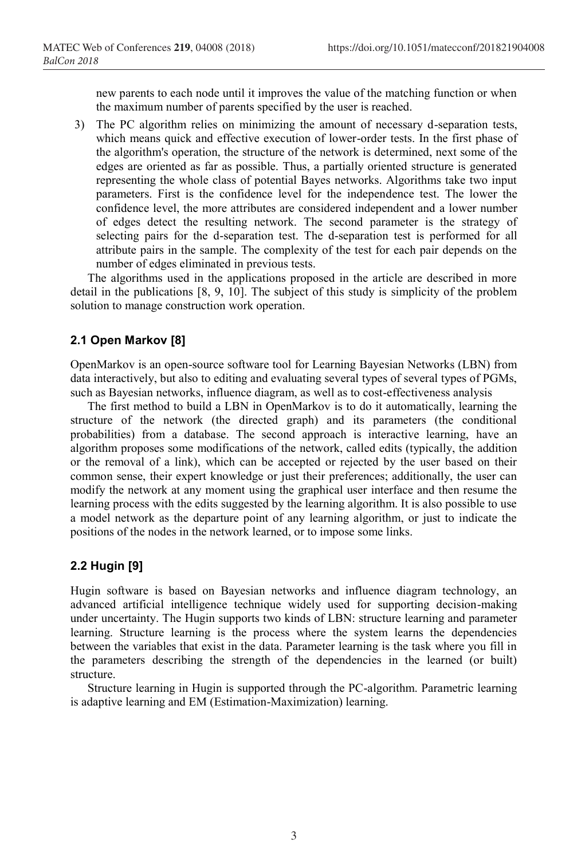new parents to each node until it improves the value of the matching function or when the maximum number of parents specified by the user is reached.

3) The PC algorithm relies on minimizing the amount of necessary d-separation tests, which means quick and effective execution of lower-order tests. In the first phase of the algorithm's operation, the structure of the network is determined, next some of the edges are oriented as far as possible. Thus, a partially oriented structure is generated representing the whole class of potential Bayes networks. Algorithms take two input parameters. First is the confidence level for the independence test. The lower the confidence level, the more attributes are considered independent and a lower number of edges detect the resulting network. The second parameter is the strategy of selecting pairs for the d-separation test. The d-separation test is performed for all attribute pairs in the sample. The complexity of the test for each pair depends on the number of edges eliminated in previous tests.

The algorithms used in the applications proposed in the article are described in more detail in the publications [8, 9, 10]. The subject of this study is simplicity of the problem solution to manage construction work operation.

#### **2.1 Open Markov [8]**

OpenMarkov is an open-source software tool for Learning Bayesian Networks (LBN) from data interactively, but also to editing and evaluating several types of several types of PGMs, such as Bayesian networks, influence diagram, as well as to cost-effectiveness analysis

The first method to build a LBN in OpenMarkov is to do it automatically, learning the structure of the network (the directed graph) and its parameters (the conditional probabilities) from a database. The second approach is interactive learning, have an algorithm proposes some modifications of the network, called edits (typically, the addition or the removal of a link), which can be accepted or rejected by the user based on their common sense, their expert knowledge or just their preferences; additionally, the user can modify the network at any moment using the graphical user interface and then resume the learning process with the edits suggested by the learning algorithm. It is also possible to use a model network as the departure point of any learning algorithm, or just to indicate the positions of the nodes in the network learned, or to impose some links.

#### **2.2 Hugin [9]**

Hugin software is based on Bayesian networks and influence diagram technology, an advanced artificial intelligence technique widely used for supporting decision-making under uncertainty. The Hugin supports two kinds of LBN: structure learning and parameter learning. Structure learning is the process where the system learns the dependencies between the variables that exist in the data. Parameter learning is the task where you fill in the parameters describing the strength of the dependencies in the learned (or built) structure.

Structure learning in Hugin is supported through the PC-algorithm. Parametric learning is adaptive learning and EM (Estimation-Maximization) learning.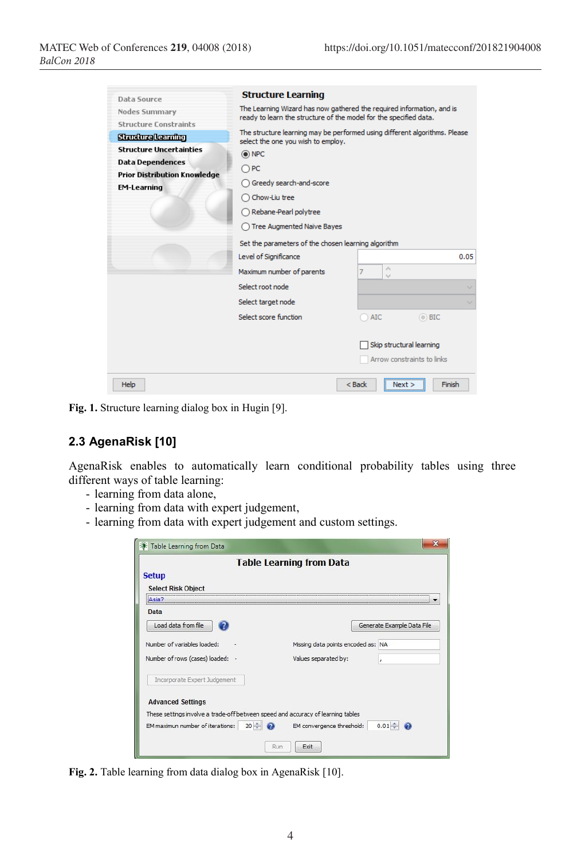| Daha Source                         | <b>Structure Learning</b>                                                                                                                  |                              |  |  |  |
|-------------------------------------|--------------------------------------------------------------------------------------------------------------------------------------------|------------------------------|--|--|--|
| Nodes Summary                       | The Learning Wizard has now gathered the required information, and is<br>ready to learn the structure of the model for the specified data. |                              |  |  |  |
| <b>Structure Constraints</b>        |                                                                                                                                            |                              |  |  |  |
| <b>Structure learning</b>           | The structure learning may be performed using different algorithms. Please<br>select the one you wish to employ.                           |                              |  |  |  |
| <b>Structure Uncertainties</b>      | O NPC                                                                                                                                      |                              |  |  |  |
| <b>Data Dependences</b>             | $\bigcap PC$                                                                                                                               |                              |  |  |  |
| <b>Prior Distribution Knowledge</b> | ◯ Greedy search-and-score                                                                                                                  |                              |  |  |  |
| <b>EM-Learning</b>                  |                                                                                                                                            |                              |  |  |  |
|                                     | Chow-Liu tree<br>Rebane-Pearl polytree<br>◯ Tree Augmented Naive Bayes<br>Set the parameters of the chosen learning algorithm              |                              |  |  |  |
|                                     |                                                                                                                                            |                              |  |  |  |
|                                     |                                                                                                                                            |                              |  |  |  |
|                                     |                                                                                                                                            |                              |  |  |  |
|                                     | Level of Significance                                                                                                                      | 0.05                         |  |  |  |
|                                     | Maximum number of parents                                                                                                                  | $\mathcal{O}_1$<br>$\cup$    |  |  |  |
|                                     | Select root node                                                                                                                           | $\sim$                       |  |  |  |
|                                     | Select target node                                                                                                                         |                              |  |  |  |
|                                     | Select score function                                                                                                                      | $\odot$ BIC<br><b>AIC</b>    |  |  |  |
|                                     |                                                                                                                                            |                              |  |  |  |
|                                     |                                                                                                                                            | Skip structural learning     |  |  |  |
|                                     |                                                                                                                                            | Arrow constraints to links   |  |  |  |
| Help                                |                                                                                                                                            | $<$ Back<br>Finish<br>Next > |  |  |  |

**Fig. 1.** Structure learning dialog box in Hugin [9].

# **2.3 AgenaRisk [10]**

AgenaRisk enables to automatically learn conditional probability tables using three different ways of table learning:

- learning from data alone,
- learning from data with expert judgement,
- learning from data with expert judgement and custom settings.

|                                                                                  | <b>Table Learning from Data</b>       |
|----------------------------------------------------------------------------------|---------------------------------------|
| <b>Setup</b><br><b>Select Risk Object</b>                                        |                                       |
| Asia                                                                             |                                       |
| Data                                                                             |                                       |
| Load data from file                                                              | Generate Example Data File            |
| Number of variables loaded:                                                      | Missing data points encoded as: NA    |
| Number of rows (cases) loaded: -                                                 | Values separated by:                  |
| Incorporate Expert Judgement                                                     |                                       |
| <b>Advanced Settings</b>                                                         |                                       |
| These settings involve a trade-off between speed and accuracy of learning tables |                                       |
| $20 - $<br>EM maximun number of iterations:                                      | $0.01 -$<br>EM convergence threshold: |

**Fig. 2.** Table learning from data dialog box in AgenaRisk [10].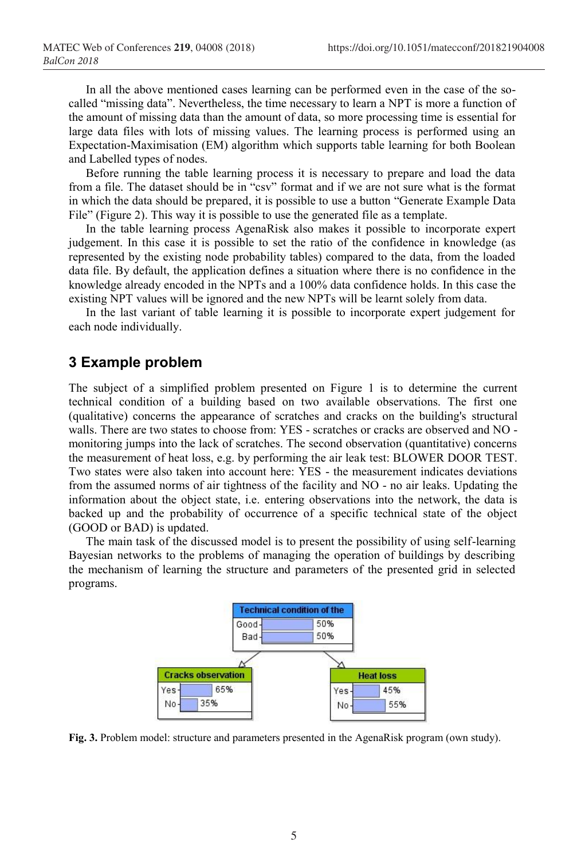In all the above mentioned cases learning can be performed even in the case of the socalled "missing data". Nevertheless, the time necessary to learn a NPT is more a function of the amount of missing data than the amount of data, so more processing time is essential for large data files with lots of missing values. The learning process is performed using an Expectation-Maximisation (EM) algorithm which supports table learning for both Boolean and Labelled types of nodes.

Before running the table learning process it is necessary to prepare and load the data from a file. The dataset should be in "csv" format and if we are not sure what is the format in which the data should be prepared, it is possible to use a button "Generate Example Data File" (Figure 2). This way it is possible to use the generated file as a template.

In the table learning process AgenaRisk also makes it possible to incorporate expert judgement. In this case it is possible to set the ratio of the confidence in knowledge (as represented by the existing node probability tables) compared to the data, from the loaded data file. By default, the application defines a situation where there is no confidence in the knowledge already encoded in the NPTs and a 100% data confidence holds. In this case the existing NPT values will be ignored and the new NPTs will be learnt solely from data.

In the last variant of table learning it is possible to incorporate expert judgement for each node individually.

## **3 Example problem**

The subject of a simplified problem presented on Figure 1 is to determine the current technical condition of a building based on two available observations. The first one (qualitative) concerns the appearance of scratches and cracks on the building's structural walls. There are two states to choose from: YES - scratches or cracks are observed and NO monitoring jumps into the lack of scratches. The second observation (quantitative) concerns the measurement of heat loss, e.g. by performing the air leak test: BLOWER DOOR TEST. Two states were also taken into account here: YES - the measurement indicates deviations from the assumed norms of air tightness of the facility and NO - no air leaks. Updating the information about the object state, i.e. entering observations into the network, the data is backed up and the probability of occurrence of a specific technical state of the object (GOOD or BAD) is updated.

The main task of the discussed model is to present the possibility of using self-learning Bayesian networks to the problems of managing the operation of buildings by describing the mechanism of learning the structure and parameters of the presented grid in selected programs.



**Fig. 3.** Problem model: structure and parameters presented in the AgenaRisk program (own study).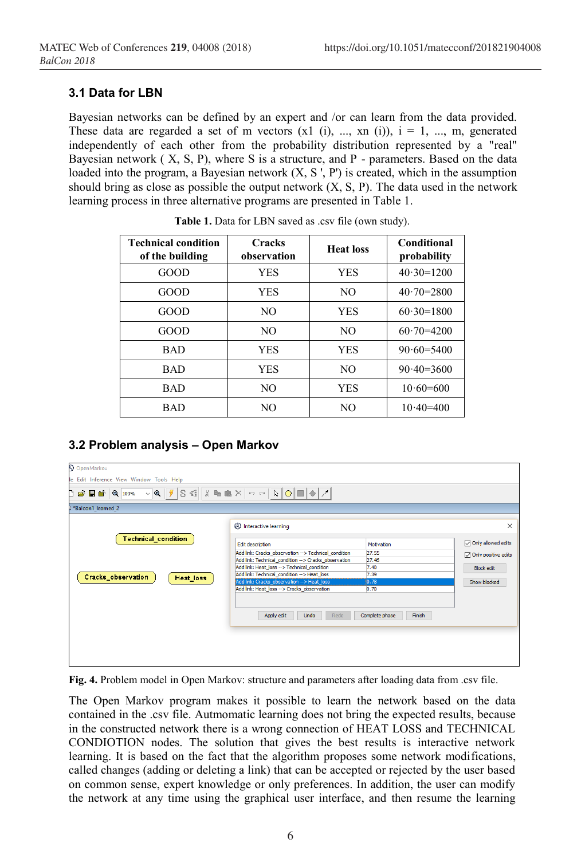#### **3.1 Data for LBN**

Bayesian networks can be defined by an expert and /or can learn from the data provided. These data are regarded a set of m vectors  $(x1 (i), ..., xn (i))$ ,  $i = 1, ..., m$ , generated independently of each other from the probability distribution represented by a "real" Bayesian network ( X, S, P), where S is a structure, and P - parameters. Based on the data loaded into the program, a Bayesian network  $(X, S', P')$  is created, which in the assumption should bring as close as possible the output network  $(X, S, P)$ . The data used in the network learning process in three alternative programs are presented in Table 1.

| <b>Technical condition</b><br>of the building | <b>Cracks</b><br>observation | <b>Heat loss</b> | Conditional<br>probability |
|-----------------------------------------------|------------------------------|------------------|----------------------------|
| GOOD                                          | <b>YES</b>                   | <b>YES</b>       | $40.30=1200$               |
| GOOD                                          | <b>YES</b>                   | NO.              | $40.70 = 2800$             |
| GOOD                                          | NO.                          | <b>YES</b>       | $60.30=1800$               |
| GOOD                                          | NO.                          | NO.              | $60.70 = 4200$             |
| <b>BAD</b>                                    | <b>YES</b>                   | <b>YES</b>       | $90.60 = 5400$             |
| <b>BAD</b>                                    | <b>YES</b>                   | NO.              | $90.40 = 3600$             |
| <b>BAD</b>                                    | NO.                          | <b>YES</b>       | $10.60=600$                |
| <b>BAD</b>                                    | NO.                          | NO               | $10.40 = 400$              |

**Table 1.** Data for LBN saved as .csv file (own study).

## **3.2 Problem analysis – Open Markov**

| OpenMarkov                               |                                                            |                          |                     |
|------------------------------------------|------------------------------------------------------------|--------------------------|---------------------|
| le Edit Inference View Window Tools Help |                                                            |                          |                     |
| ◘ ఆЯЕ ॏऻऻढ़ऻ <del>ऀ</del>                |                                                            |                          |                     |
| >*Balcon1 learned 2                      |                                                            |                          |                     |
|                                          | <b><sup><sup><i>A</i></sup></sup></b> Interactive learning |                          | $\times$            |
| <b>Technical_condition</b>               | Edit description                                           | Motivation               | Only allowed edits  |
|                                          | Add link: Cracks observation --> Technical condition       | 27.55                    | Only positive edits |
|                                          | Add link: Technical condition --> Cracks observation       | 27.46                    |                     |
|                                          | Add link: Heat_loss --> Technical_condition                | 7.40                     | <b>Block edit</b>   |
| Cracks_observation<br>Heat_loss          | Add link: Technical_condition --> Heat_loss                | 7.39                     |                     |
|                                          | Add link: Cracks_observation --> Heat_loss                 | 0.78                     | Show blocked        |
|                                          | Add link: Heat_loss --> Cracks_observation                 | 0.70                     |                     |
|                                          | Apply edit<br>Undo<br>Redo                                 | Complete phase<br>Finish |                     |

**Fig. 4.** Problem model in Open Markov: structure and parameters after loading data from .csv file.

The Open Markov program makes it possible to learn the network based on the data contained in the .csv file. Autmomatic learning does not bring the expected results, because in the constructed network there is a wrong connection of HEAT LOSS and TECHNICAL CONDIOTION nodes. The solution that gives the best results is interactive network learning. It is based on the fact that the algorithm proposes some network modifications, called changes (adding or deleting a link) that can be accepted or rejected by the user based on common sense, expert knowledge or only preferences. In addition, the user can modify the network at any time using the graphical user interface, and then resume the learning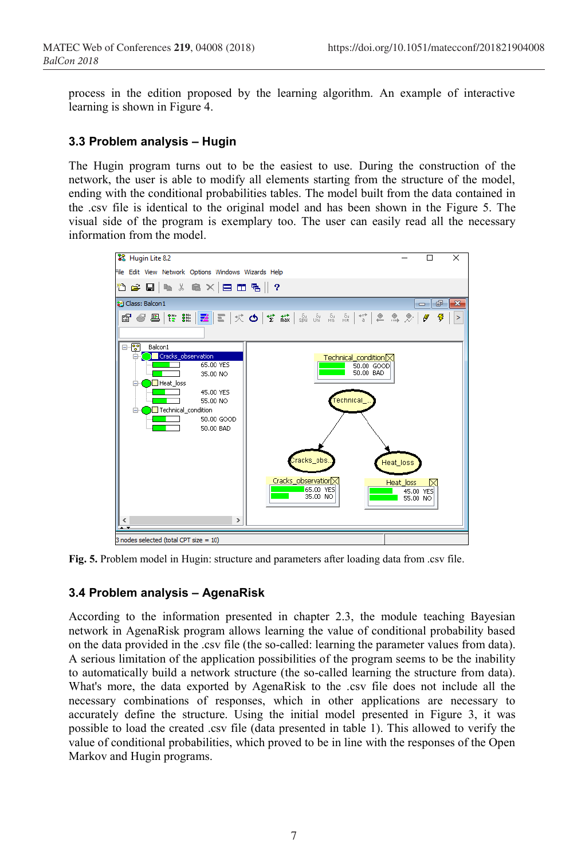process in the edition proposed by the learning algorithm. An example of interactive learning is shown in Figure 4.

#### **3.3 Problem analysis – Hugin**

The Hugin program turns out to be the easiest to use. During the construction of the network, the user is able to modify all elements starting from the structure of the model, ending with the conditional probabilities tables. The model built from the data contained in the .csv file is identical to the original model and has been shown in the Figure 5. The visual side of the program is exemplary too. The user can easily read all the necessary information from the model.



**Fig. 5.** Problem model in Hugin: structure and parameters after loading data from .csv file.

#### **3.4 Problem analysis – AgenaRisk**

According to the information presented in chapter 2.3, the module teaching Bayesian network in AgenaRisk program allows learning the value of conditional probability based on the data provided in the .csv file (the so-called: learning the parameter values from data). A serious limitation of the application possibilities of the program seems to be the inability to automatically build a network structure (the so-called learning the structure from data). What's more, the data exported by AgenaRisk to the .csv file does not include all the necessary combinations of responses, which in other applications are necessary to accurately define the structure. Using the initial model presented in Figure 3, it was possible to load the created .csv file (data presented in table 1). This allowed to verify the value of conditional probabilities, which proved to be in line with the responses of the Open Markov and Hugin programs.